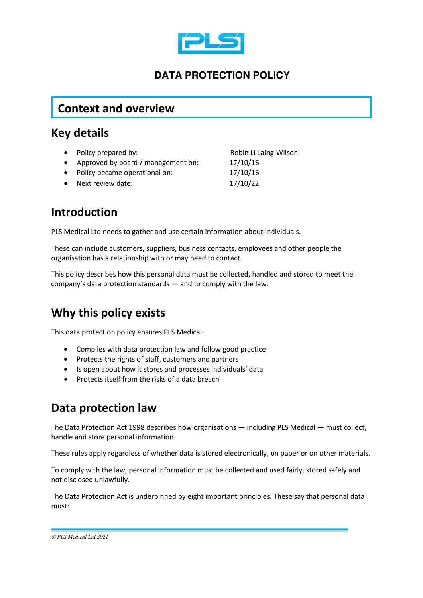

#### **DATA PROTECTION POLICY**

#### **Context and overview**

#### **Key details**

- Policy prepared by: Robin Li Laing-Wilson
- Approved by board / management on: 17/10/16
- Policy became operational on: 17/10/16
- Next review date: 17/10/22

## **Introduction**

PLS Medical Ltd needs to gather and use certain information about individuals.

These can include customers, suppliers, business contacts, employees and other people the organisation has a relationship with or may need to contact.

This policy describes how this personal data must be collected, handled and stored to meet the company's data protection standards — and to comply with the law.

## **Why this policy exists**

This data protection policy ensures PLS Medical:

- Complies with data protection law and follow good practice
- Protects the rights of staff, customers and partners
- Is open about how it stores and processes individuals' data
- Protects itself from the risks of a data breach

### **Data protection law**

The Data Protection Act 1998 describes how organisations — including PLS Medical — must collect, handle and store personal information.

These rules apply regardless of whether data is stored electronically, on paper or on other materials.

To comply with the law, personal information must be collected and used fairly, stored safely and not disclosed unlawfully.

The Data Protection Act is underpinned by eight important principles. These say that personal data must: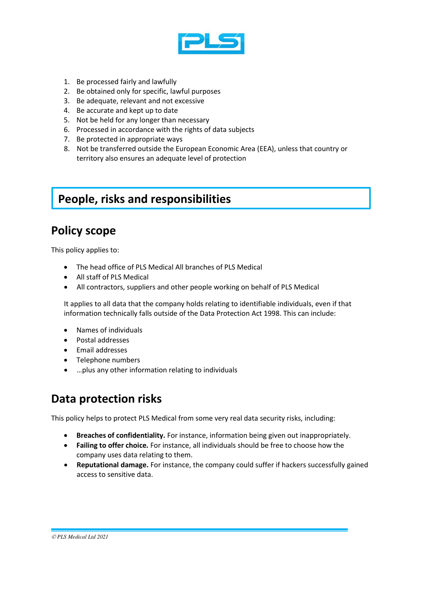

- 1. Be processed fairly and lawfully
- 2. Be obtained only for specific, lawful purposes
- 3. Be adequate, relevant and not excessive
- 4. Be accurate and kept up to date
- 5. Not be held for any longer than necessary
- 6. Processed in accordance with the rights of data subjects
- 7. Be protected in appropriate ways
- 8. Not be transferred outside the European Economic Area (EEA), unless that country or territory also ensures an adequate level of protection

### **People, risks and responsibilities**

### **Policy scope**

This policy applies to:

- The head office of PLS Medical All branches of PLS Medical
- All staff of PLS Medical
- All contractors, suppliers and other people working on behalf of PLS Medical

It applies to all data that the company holds relating to identifiable individuals, even if that information technically falls outside of the Data Protection Act 1998. This can include:

- Names of individuals
- Postal addresses
- Email addresses
- Telephone numbers
- …plus any other information relating to individuals

## **Data protection risks**

This policy helps to protect PLS Medical from some very real data security risks, including:

- **Breaches of confidentiality.** For instance, information being given out inappropriately.
- **Failing to offer choice.** For instance, all individuals should be free to choose how the company uses data relating to them.
- **Reputational damage.** For instance, the company could suffer if hackers successfully gained access to sensitive data.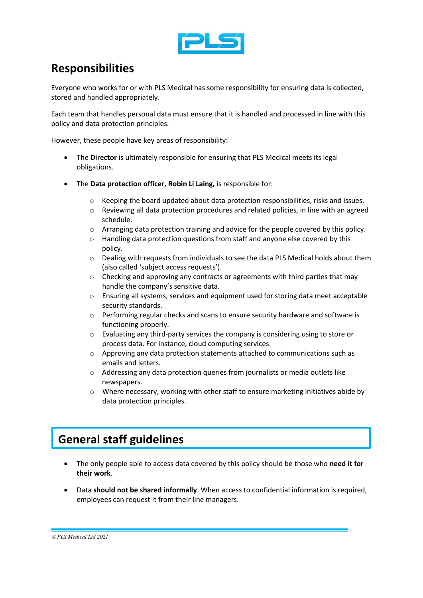

## **Responsibilities**

Everyone who works for or with PLS Medical has some responsibility for ensuring data is collected, stored and handled appropriately.

Each team that handles personal data must ensure that it is handled and processed in line with this policy and data protection principles.

However, these people have key areas of responsibility:

- The **Director** is ultimately responsible for ensuring that PLS Medical meets its legal obligations.
- The **Data protection officer, Robin Li Laing,** is responsible for:
	- $\circ$  Keeping the board updated about data protection responsibilities, risks and issues.
	- $\circ$  Reviewing all data protection procedures and related policies, in line with an agreed schedule.
	- $\circ$  Arranging data protection training and advice for the people covered by this policy.
	- $\circ$  Handling data protection questions from staff and anyone else covered by this policy.
	- o Dealing with requests from individuals to see the data PLS Medical holds about them (also called 'subject access requests').
	- $\circ$  Checking and approving any contracts or agreements with third parties that may handle the company's sensitive data.
	- o Ensuring all systems, services and equipment used for storing data meet acceptable security standards.
	- $\circ$  Performing regular checks and scans to ensure security hardware and software is functioning properly.
	- o Evaluating any third-party services the company is considering using to store or process data. For instance, cloud computing services.
	- o Approving any data protection statements attached to communications such as emails and letters.
	- o Addressing any data protection queries from journalists or media outlets like newspapers.
	- o Where necessary, working with other staff to ensure marketing initiatives abide by data protection principles.

# **General staff guidelines**

- The only people able to access data covered by this policy should be those who **need it for their work**.
- Data **should not be shared informally**. When access to confidential information is required, employees can request it from their line managers.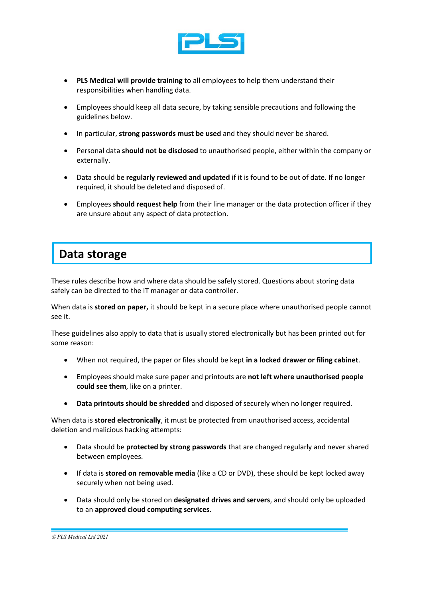

- **PLS Medical will provide training** to all employees to help them understand their responsibilities when handling data.
- Employees should keep all data secure, by taking sensible precautions and following the guidelines below.
- In particular, **strong passwords must be used** and they should never be shared.
- Personal data **should not be disclosed** to unauthorised people, either within the company or externally.
- Data should be **regularly reviewed and updated** if it is found to be out of date. If no longer required, it should be deleted and disposed of.
- Employees **should request help** from their line manager or the data protection officer if they are unsure about any aspect of data protection.

## **Data storage**

These rules describe how and where data should be safely stored. Questions about storing data safely can be directed to the IT manager or data controller.

When data is **stored on paper,** it should be kept in a secure place where unauthorised people cannot see it.

These guidelines also apply to data that is usually stored electronically but has been printed out for some reason:

- When not required, the paper or files should be kept **in a locked drawer or filing cabinet**.
- Employees should make sure paper and printouts are **not left where unauthorised people could see them**, like on a printer.
- **Data printouts should be shredded** and disposed of securely when no longer required.

When data is **stored electronically**, it must be protected from unauthorised access, accidental deletion and malicious hacking attempts:

- Data should be **protected by strong passwords** that are changed regularly and never shared between employees.
- If data is **stored on removable media** (like a CD or DVD), these should be kept locked away securely when not being used.
- Data should only be stored on **designated drives and servers**, and should only be uploaded to an **approved cloud computing services**.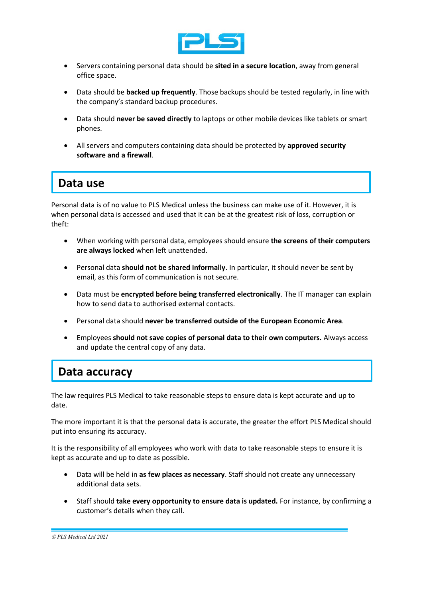

- Servers containing personal data should be **sited in a secure location**, away from general office space.
- Data should be **backed up frequently**. Those backups should be tested regularly, in line with the company's standard backup procedures.
- Data should **never be saved directly** to laptops or other mobile devices like tablets or smart phones.
- All servers and computers containing data should be protected by **approved security software and a firewall**.

## **Data use**

Personal data is of no value to PLS Medical unless the business can make use of it. However, it is when personal data is accessed and used that it can be at the greatest risk of loss, corruption or theft:

- When working with personal data, employees should ensure **the screens of their computers are always locked** when left unattended.
- Personal data **should not be shared informally**. In particular, it should never be sent by email, as this form of communication is not secure.
- Data must be **encrypted before being transferred electronically**. The IT manager can explain how to send data to authorised external contacts.
- Personal data should **never be transferred outside of the European Economic Area**.
- Employees **should not save copies of personal data to their own computers.** Always access and update the central copy of any data.

## **Data accuracy**

The law requires PLS Medical to take reasonable steps to ensure data is kept accurate and up to date.

The more important it is that the personal data is accurate, the greater the effort PLS Medical should put into ensuring its accuracy.

It is the responsibility of all employees who work with data to take reasonable steps to ensure it is kept as accurate and up to date as possible.

- Data will be held in **as few places as necessary**. Staff should not create any unnecessary additional data sets.
- Staff should **take every opportunity to ensure data is updated.** For instance, by confirming a customer's details when they call.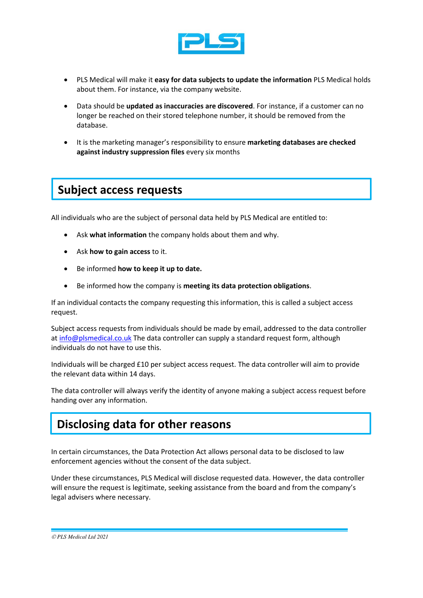

- PLS Medical will make it **easy for data subjects to update the information** PLS Medical holds about them. For instance, via the company website.
- Data should be **updated as inaccuracies are discovered**. For instance, if a customer can no longer be reached on their stored telephone number, it should be removed from the database.
- It is the marketing manager's responsibility to ensure **marketing databases are checked against industry suppression files** every six months

#### **Subject access requests**

All individuals who are the subject of personal data held by PLS Medical are entitled to:

- Ask **what information** the company holds about them and why.
- Ask **how to gain access** to it.
- Be informed **how to keep it up to date.**
- Be informed how the company is **meeting its data protection obligations**.

If an individual contacts the company requesting this information, this is called a subject access request.

Subject access requests from individuals should be made by email, addressed to the data controller a[t info@plsmedical.co.uk](mailto:info@plsmedical.co.uk) The data controller can supply a standard request form, although individuals do not have to use this.

Individuals will be charged £10 per subject access request. The data controller will aim to provide the relevant data within 14 days.

The data controller will always verify the identity of anyone making a subject access request before handing over any information.

### **Disclosing data for other reasons**

In certain circumstances, the Data Protection Act allows personal data to be disclosed to law enforcement agencies without the consent of the data subject.

Under these circumstances, PLS Medical will disclose requested data. However, the data controller will ensure the request is legitimate, seeking assistance from the board and from the company's legal advisers where necessary.